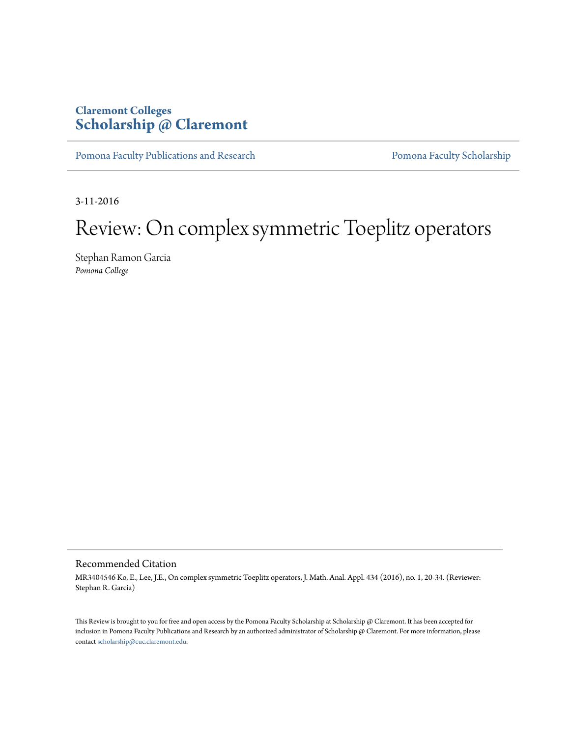## **Claremont Colleges [Scholarship @ Claremont](http://scholarship.claremont.edu)**

[Pomona Faculty Publications and Research](http://scholarship.claremont.edu/pomona_fac_pub) [Pomona Faculty Scholarship](http://scholarship.claremont.edu/pomona_faculty)

3-11-2016

# Review: On complex symmetric Toeplitz operators

Stephan Ramon Garcia *Pomona College*

### Recommended Citation

MR3404546 Ko, E., Lee, J.E., On complex symmetric Toeplitz operators, J. Math. Anal. Appl. 434 (2016), no. 1, 20-34. (Reviewer: Stephan R. Garcia)

This Review is brought to you for free and open access by the Pomona Faculty Scholarship at Scholarship @ Claremont. It has been accepted for inclusion in Pomona Faculty Publications and Research by an authorized administrator of Scholarship @ Claremont. For more information, please contact [scholarship@cuc.claremont.edu](mailto:scholarship@cuc.claremont.edu).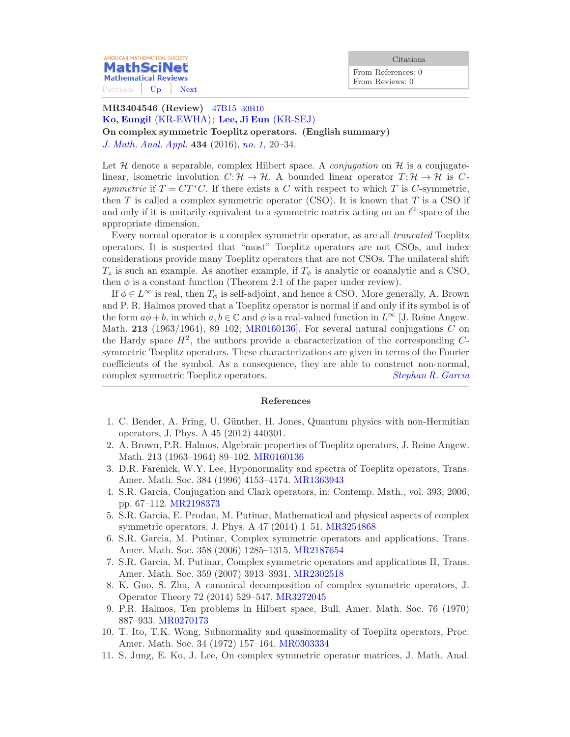From References: 0 From Reviews: 0

**Mathematical Reviews** Previous [Up](/mathscinet/search/publications.html?mx-pid=3404546&pg1=RVRI&pg3=authreviews&s1=726101&vfpref=html&r=1) [Next](/mathscinet/pdf/3403897.pdf?mx-pid=3404546&pg1=RVRI&pg3=authreviews&s1=726101&vfpref=html&r=2)

AMERICAN MATHEMATICAL SOCIETY **MathSciNet** 

#### MR3404546 (Review) [47B15](/mathscinet/search/mscdoc.html?code=47B15%2C%2830H10%29) 30H10 [Ko, Eungil](/mathscinet/search/publications.html?pg1=IID&s1=353576) [\(KR-EWHA\)](/mathscinet/search/institution.html?code=KR_EWHA); [Lee, Ji Eun](/mathscinet/search/publications.html?pg1=IID&s1=800660) [\(KR-SEJ\)](/mathscinet/search/institution.html?code=KR_SEJ)

On complex symmetric Toeplitz operators. (English summary) [J. Math. Anal. Appl.](/mathscinet/search/journaldoc.html?&cn=J_Math_Anal_Appl) 434 (2016), [no. 1,](/mathscinet/search/publications.html?pg1=ISSI&s1=336358) 20–34.

Let  $\mathcal H$  denote a separable, complex Hilbert space. A *conjugation* on  $\mathcal H$  is a conjugatelinear, isometric involution  $C: \mathcal{H} \to \mathcal{H}$ . A bounded linear operator  $T: \mathcal{H} \to \mathcal{H}$  is Csymmetric if  $T = CT^*C$ . If there exists a C with respect to which T is C-symmetric, then  $T$  is called a complex symmetric operator (CSO). It is known that  $T$  is a CSO if and only if it is unitarily equivalent to a symmetric matrix acting on an  $\ell^2$  space of the appropriate dimension.

Every normal operator is a complex symmetric operator, as are all truncated Toeplitz operators. It is suspected that "most" Toeplitz operators are not CSOs, and index considerations provide many Toeplitz operators that are not CSOs. The unilateral shift  $T_z$  is such an example. As another example, if  $T_\phi$  is analytic or coanalytic and a CSO, then  $\phi$  is a constant function (Theorem 2.1 of the paper under review).

If  $\phi \in L^{\infty}$  is real, then  $T_{\phi}$  is self-adjoint, and hence a CSO. More generally, A. Brown and P. R. Halmos proved that a Toeplitz operator is normal if and only if its symbol is of the form  $a\phi + b$ , in which  $a, b \in \mathbb{C}$  and  $\phi$  is a real-valued function in  $L^{\infty}$  [J. Reine Angew. Math. 213 (1963/1964), 89-102; MR0160136. For several natural conjugations  $C$  on the Hardy space  $H^2$ , the authors provide a characterization of the corresponding  $C$ symmetric Toeplitz operators. These characterizations are given in terms of the Fourier coefficients of the symbol. As a consequence, they are able to construct non-normal, complex symmetric Toeplitz operators. [Stephan R. Garcia](/mathscinet/search/publications.html?pg1=IID&s1=726101)

#### References

- 1. C. Bender, A. Fring, U. G¨unther, H. Jones, Quantum physics with non-Hermitian operators, J. Phys. A 45 (2012) 440301.
- 2. A. Brown, P.R. Halmos, Algebraic properties of Toeplitz operators, J. Reine Angew. Math. 213 (1963–1964) 89–102. [MR0160136](/mathscinet/pdf/160136.pdf?pg1=MR&s1=0160136&loc=fromreflist)
- 3. D.R. Farenick, W.Y. Lee, Hyponormality and spectra of Toeplitz operators, Trans. Amer. Math. Soc. 384 (1996) 4153–4174. [MR1363943](/mathscinet/pdf/1363943.pdf?pg1=MR&s1=1363943&loc=fromreflist)
- 4. S.R. Garcia, Conjugation and Clark operators, in: Contemp. Math., vol. 393, 2006, pp. 67–112. [MR2198373](/mathscinet/pdf/2198373.pdf?pg1=MR&s1=2198373&loc=fromreflist)
- 5. S.R. Garcia, E. Prodan, M. Putinar, Mathematical and physical aspects of complex symmetric operators, J. Phys. A 47 (2014) 1–51. [MR3254868](/mathscinet/pdf/3254868.pdf?pg1=MR&s1=3254868&loc=fromreflist)
- 6. S.R. Garcia, M. Putinar, Complex symmetric operators and applications, Trans. Amer. Math. Soc. 358 (2006) 1285–1315. [MR2187654](/mathscinet/pdf/2187654.pdf?pg1=MR&s1=2187654&loc=fromreflist)
- 7. S.R. Garcia, M. Putinar, Complex symmetric operators and applications II, Trans. Amer. Math. Soc. 359 (2007) 3913–3931. [MR2302518](/mathscinet/pdf/2302518.pdf?pg1=MR&s1=2302518&loc=fromreflist)
- 8. K. Guo, S. Zhu, A canonical decomposition of complex symmetric operators, J. Operator Theory 72 (2014) 529–547. [MR3272045](/mathscinet/pdf/3272045.pdf?pg1=MR&s1=3272045&loc=fromreflist)
- 9. P.R. Halmos, Ten problems in Hilbert space, Bull. Amer. Math. Soc. 76 (1970) 887–933. [MR0270173](/mathscinet/pdf/270173.pdf?pg1=MR&s1=0270173&loc=fromreflist)
- 10. T. Ito, T.K. Wong, Subnormality and quasinormality of Toeplitz operators, Proc. Amer. Math. Soc. 34 (1972) 157–164. [MR0303334](/mathscinet/pdf/303334.pdf?pg1=MR&s1=0303334&loc=fromreflist)
- 11. S. Jung, E. Ko, J. Lee, On complex symmetric operator matrices, J. Math. Anal.